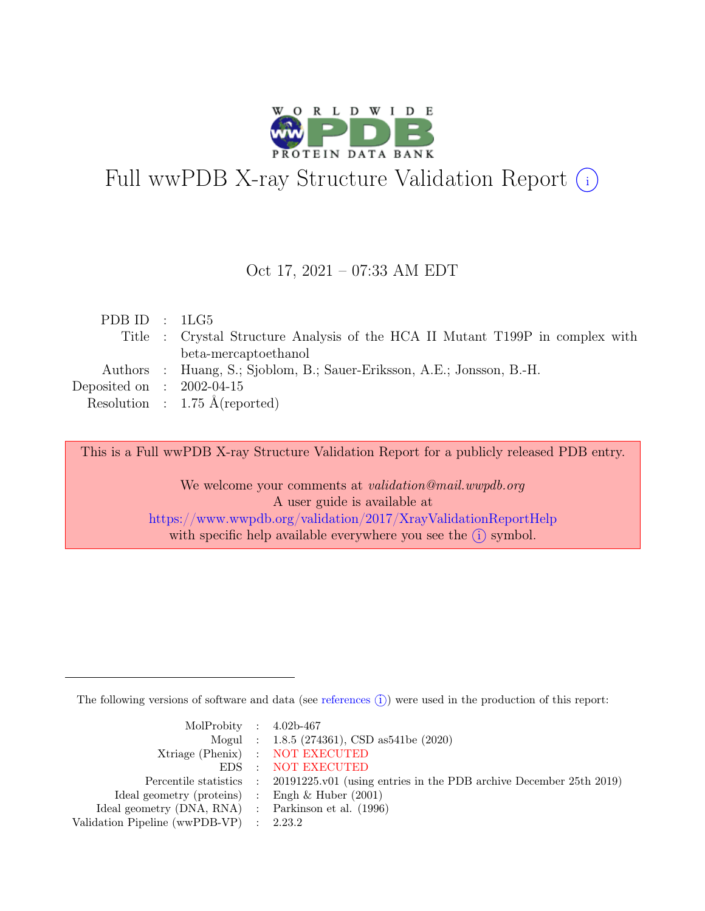

# Full wwPDB X-ray Structure Validation Report  $(i)$

#### Oct 17, 2021 – 07:33 AM EDT

| PDBID : 1LG5                |                                                                               |
|-----------------------------|-------------------------------------------------------------------------------|
|                             | Title : Crystal Structure Analysis of the HCA II Mutant T199P in complex with |
|                             | beta-mercaptoethanol                                                          |
|                             | Authors : Huang, S.; Sjoblom, B.; Sauer-Eriksson, A.E.; Jonsson, B.-H.        |
| Deposited on : $2002-04-15$ |                                                                               |
|                             | Resolution : $1.75 \text{ Å}$ (reported)                                      |
|                             |                                                                               |

This is a Full wwPDB X-ray Structure Validation Report for a publicly released PDB entry.

We welcome your comments at validation@mail.wwpdb.org A user guide is available at <https://www.wwpdb.org/validation/2017/XrayValidationReportHelp> with specific help available everywhere you see the  $(i)$  symbol.

The following versions of software and data (see [references](https://www.wwpdb.org/validation/2017/XrayValidationReportHelp#references)  $\hat{I}$ ) were used in the production of this report:

| MolProbity : $4.02b-467$                            |                                                                                            |
|-----------------------------------------------------|--------------------------------------------------------------------------------------------|
|                                                     | Mogul : $1.8.5$ (274361), CSD as 541be (2020)                                              |
|                                                     | Xtriage (Phenix) : NOT EXECUTED                                                            |
|                                                     | EDS : NOT EXECUTED                                                                         |
|                                                     | Percentile statistics : 20191225.v01 (using entries in the PDB archive December 25th 2019) |
| Ideal geometry (proteins) : Engh $\&$ Huber (2001)  |                                                                                            |
| Ideal geometry (DNA, RNA) : Parkinson et al. (1996) |                                                                                            |
| Validation Pipeline (wwPDB-VP) : $2.23.2$           |                                                                                            |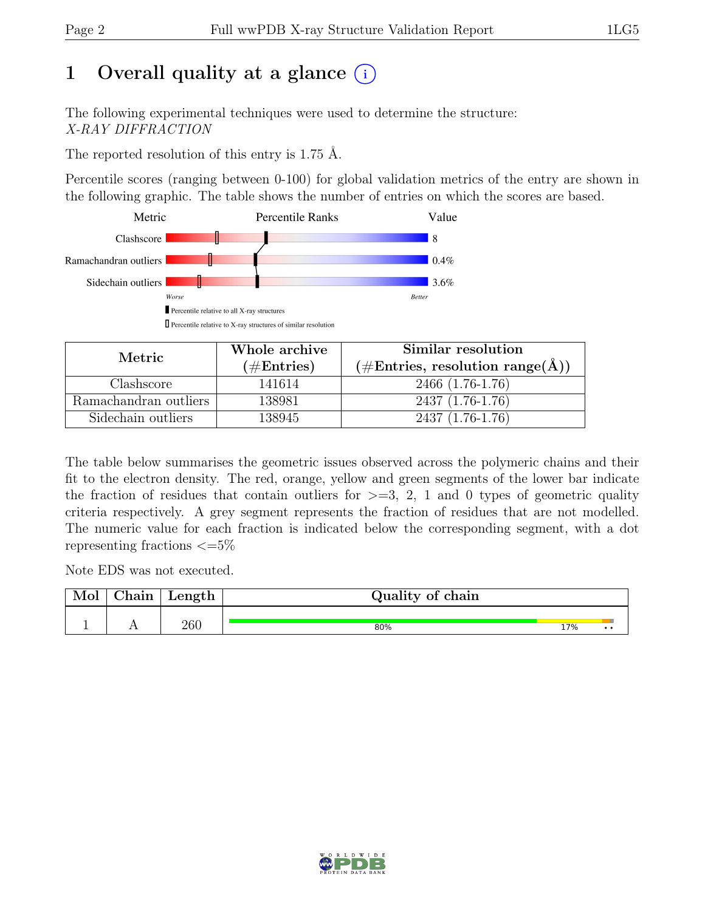# 1 Overall quality at a glance  $(i)$

The following experimental techniques were used to determine the structure: X-RAY DIFFRACTION

The reported resolution of this entry is 1.75 Å.

Percentile scores (ranging between 0-100) for global validation metrics of the entry are shown in the following graphic. The table shows the number of entries on which the scores are based.



| Metric.               | Whole archive        | Similar resolution                                        |
|-----------------------|----------------------|-----------------------------------------------------------|
|                       | $(\#\text{Entries})$ | $(\# \text{Entries}, \text{ resolution range}(\text{A}))$ |
| Clashscore            | 141614               | 2466 (1.76-1.76)                                          |
| Ramachandran outliers | 138981               | $2437(1.76-1.76)$                                         |
| Sidechain outliers    | 138945               | 2437 (1.76-1.76)                                          |

The table below summarises the geometric issues observed across the polymeric chains and their fit to the electron density. The red, orange, yellow and green segments of the lower bar indicate the fraction of residues that contain outliers for  $\geq$ =3, 2, 1 and 0 types of geometric quality criteria respectively. A grey segment represents the fraction of residues that are not modelled. The numeric value for each fraction is indicated below the corresponding segment, with a dot representing fractions  $\epsilon = 5\%$ 

Note EDS was not executed.

| Mol | ${\rm Chain}$ | Length | Quality of chain |     |     |
|-----|---------------|--------|------------------|-----|-----|
|     |               | 260    | 80%              | 17% | . . |

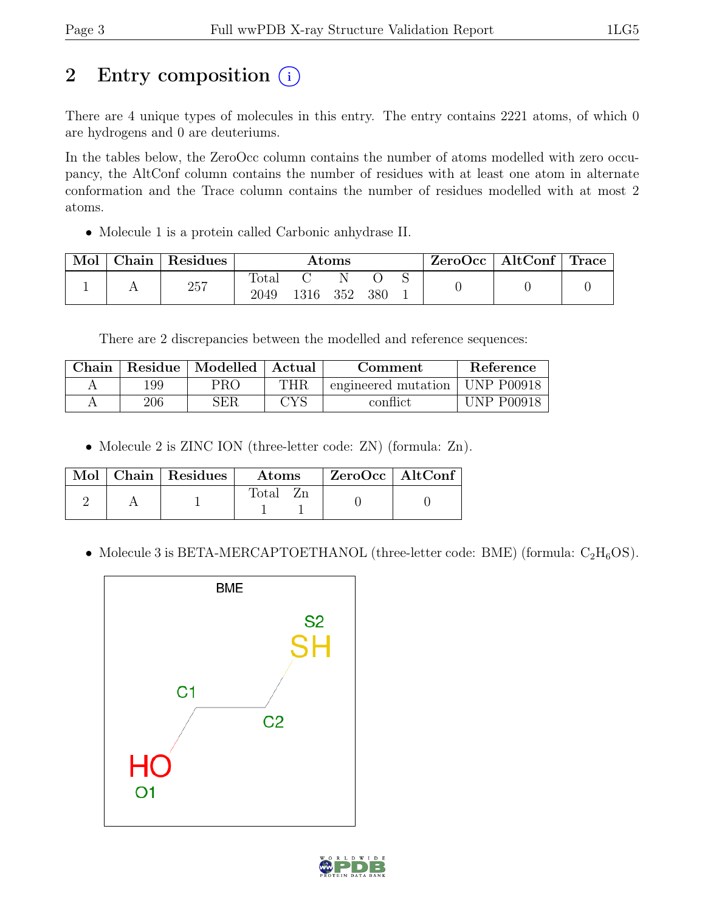# 2 Entry composition  $(i)$

There are 4 unique types of molecules in this entry. The entry contains 2221 atoms, of which 0 are hydrogens and 0 are deuteriums.

In the tables below, the ZeroOcc column contains the number of atoms modelled with zero occupancy, the AltConf column contains the number of residues with at least one atom in alternate conformation and the Trace column contains the number of residues modelled with at most 2 atoms.

• Molecule 1 is a protein called Carbonic anhydrase II.

| Mol | Chain   Residues | $\rm{Atoms}$           |      |     |      | ZeroOcc | $\vert$ AltConf $\vert$ Trace |  |  |
|-----|------------------|------------------------|------|-----|------|---------|-------------------------------|--|--|
|     | 257              | $\text{Total}$<br>2049 | 1316 | 352 | -380 |         |                               |  |  |

There are 2 discrepancies between the modelled and reference sequences:

| Chain | Residue | $\perp$ Modelled $\perp$ Actual |            | Comment             | Reference         |
|-------|---------|---------------------------------|------------|---------------------|-------------------|
|       | 199     | PRO                             | $\rm{THR}$ | engineered mutation | <b>UNP P00918</b> |
|       | 206     | ${\rm SER}$                     | CYS        | conflict            | <b>UNP P00918</b> |

• Molecule 2 is ZINC ION (three-letter code: ZN) (formula: Zn).

|  | $\blacksquare$ Mol $\vert$ Chain $\vert$ Residues $\vert$ | Atoms          | $ZeroOcc$   AltConf |  |
|--|-----------------------------------------------------------|----------------|---------------------|--|
|  |                                                           | $\text{Total}$ |                     |  |

• Molecule 3 is BETA-MERCAPTOETHANOL (three-letter code: BME) (formula:  $C_2H_6OS$ ).



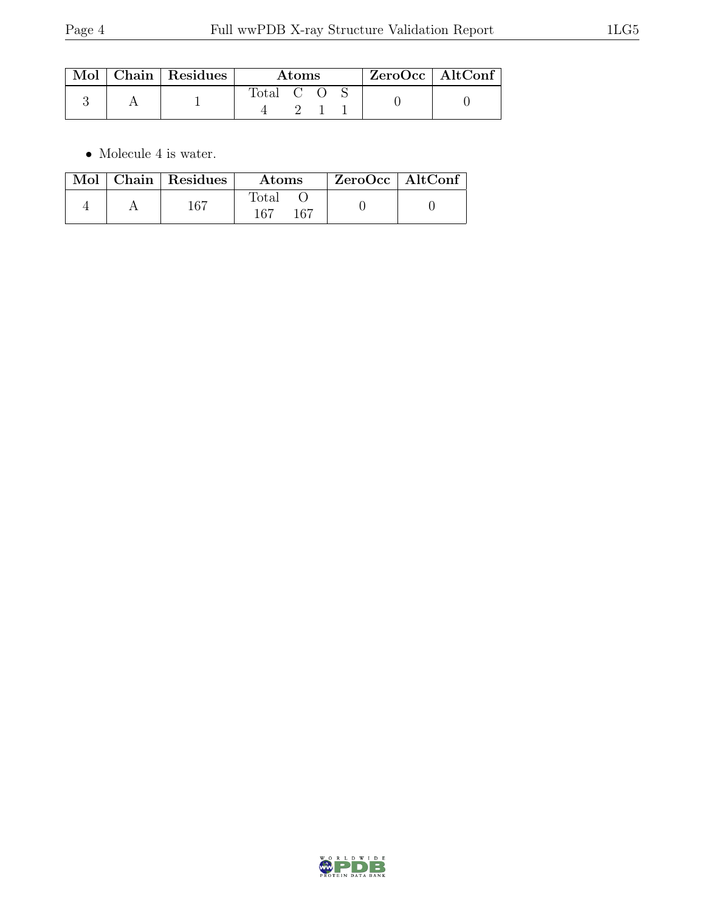|  | Mol   Chain   Residues | Atoms     |  |  |  | $\mid$ ZeroOcc $\mid$ AltConf |  |
|--|------------------------|-----------|--|--|--|-------------------------------|--|
|  |                        | Total C O |  |  |  |                               |  |

 $\bullet\,$  Molecule 4 is water.

|  | Mol   Chain   Residues | <b>Atoms</b>                 | $ZeroOcc$   AltConf |
|--|------------------------|------------------------------|---------------------|
|  | $167\,$                | $\text{Total}$<br>167<br>167 |                     |

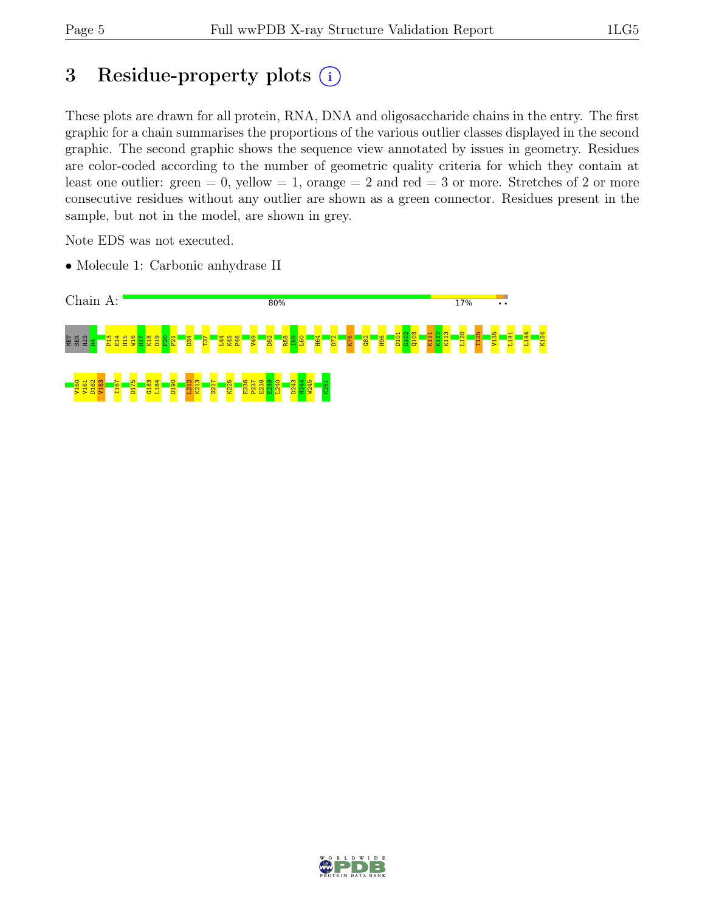# 3 Residue-property plots  $(i)$

These plots are drawn for all protein, RNA, DNA and oligosaccharide chains in the entry. The first graphic for a chain summarises the proportions of the various outlier classes displayed in the second graphic. The second graphic shows the sequence view annotated by issues in geometry. Residues are color-coded according to the number of geometric quality criteria for which they contain at least one outlier: green  $= 0$ , yellow  $= 1$ , orange  $= 2$  and red  $= 3$  or more. Stretches of 2 or more consecutive residues without any outlier are shown as a green connector. Residues present in the sample, but not in the model, are shown in grey.

Note EDS was not executed.

• Molecule 1: Carbonic anhydrase II



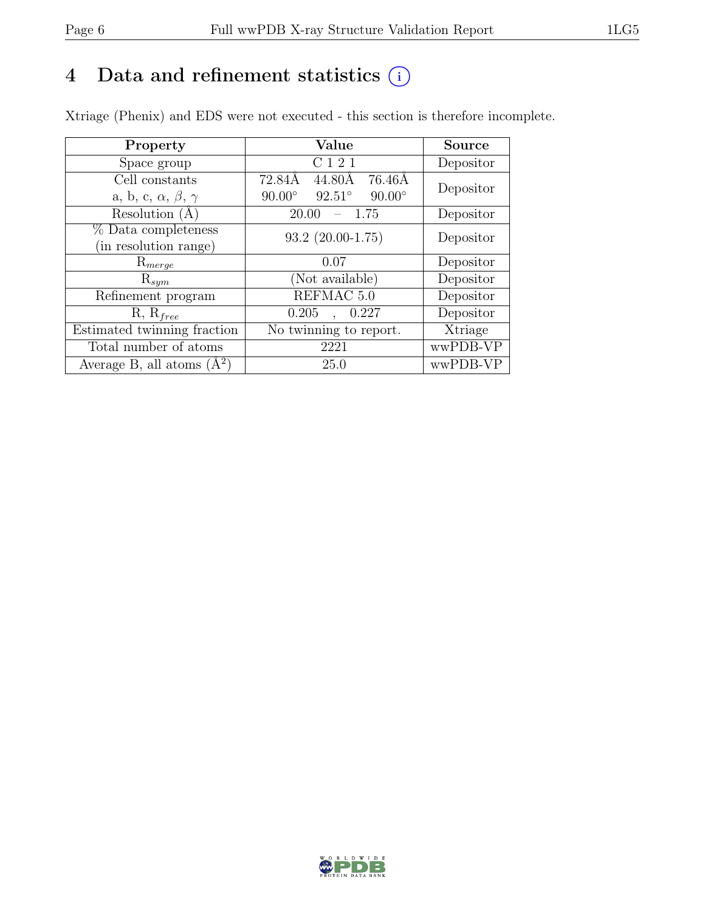# 4 Data and refinement statistics  $(i)$

Xtriage (Phenix) and EDS were not executed - this section is therefore incomplete.

| Property                               | Value                                           | <b>Source</b> |  |
|----------------------------------------|-------------------------------------------------|---------------|--|
| Space group                            | C <sub>1</sub> 2 <sub>1</sub>                   | Depositor     |  |
| Cell constants                         | 72.84Å<br>76.46Å<br>44.80Å                      | Depositor     |  |
| a, b, c, $\alpha$ , $\beta$ , $\gamma$ | $90.00^\circ$<br>$92.51^\circ$<br>$90.00^\circ$ |               |  |
| Resolution (A)                         | 20.00<br>- 1.75                                 | Depositor     |  |
| % Data completeness                    | $93.2$ $(20.00-1.75)$                           | Depositor     |  |
| (in resolution range)                  |                                                 |               |  |
| $\mathrm{R}_{merge}$                   | 0.07                                            | Depositor     |  |
| $\mathrm{R}_{sym}$                     | (Not available)                                 | Depositor     |  |
| Refinement program                     | REFMAC 5.0                                      | Depositor     |  |
| $R, R_{free}$                          | 0.205<br>0.227                                  | Depositor     |  |
| Estimated twinning fraction            | No twinning to report.                          | Xtriage       |  |
| Total number of atoms                  | 2221                                            | wwPDB-VP      |  |
| Average B, all atoms $(A^2)$           | 25.0                                            | wwPDB-VP      |  |

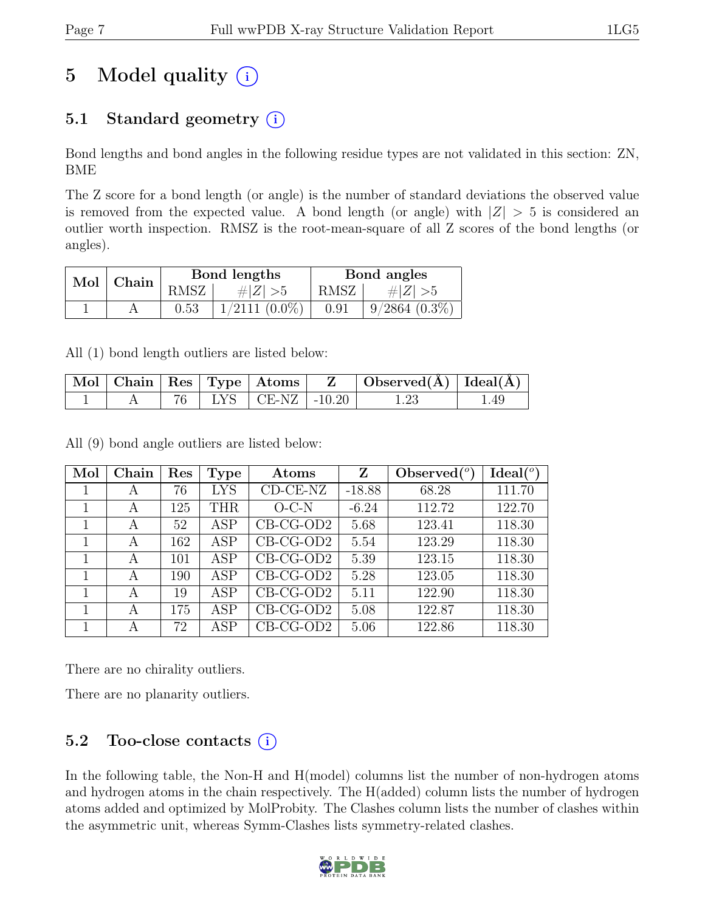# 5 Model quality  $(i)$

# 5.1 Standard geometry  $(i)$

Bond lengths and bond angles in the following residue types are not validated in this section: ZN, BME

The Z score for a bond length (or angle) is the number of standard deviations the observed value is removed from the expected value. A bond length (or angle) with  $|Z| > 5$  is considered an outlier worth inspection. RMSZ is the root-mean-square of all Z scores of the bond lengths (or angles).

| $Mol$   Chain |      | Bond lengths     | Bond angles |                 |  |
|---------------|------|------------------|-------------|-----------------|--|
|               | RMSZ | $\# Z  > 5$      | RMSZ        | # $ Z  > 5$     |  |
|               | 0.53 | $1/2111 (0.0\%)$ | 0.91        | $9/2864$ (0.3%) |  |

All (1) bond length outliers are listed below:

|  |  | Mol   Chain   Res   Type   Atoms | $\Box$ Observed( $\AA$ ) $\Box$ Ideal( $\AA$ ) $\Box$ |      |
|--|--|----------------------------------|-------------------------------------------------------|------|
|  |  | $76$   LYS   CE-NZ   -10.20      | $1.23\,$                                              | 1.49 |

All (9) bond angle outliers are listed below:

| Mol | Chain | Res | Type       | Atoms       | Z        | Observed $\binom{o}{c}$ | Ideal <sup>(o)</sup> |
|-----|-------|-----|------------|-------------|----------|-------------------------|----------------------|
|     | А     | 76  | <b>LYS</b> | $CD-CE-NZ$  | $-18.88$ | 68.28                   | 111.70               |
|     | А     | 125 | <b>THR</b> | $O-C-N$     | $-6.24$  | 112.72                  | 122.70               |
|     | А     | 52  | ASP        | $CB-CG-OD2$ | 5.68     | 123.41                  | 118.30               |
|     | А     | 162 | ASP        | $CB-CG-OD2$ | 5.54     | 123.29                  | 118.30               |
|     | А     | 101 | ASP        | $CB-CG-OD2$ | 5.39     | 123.15                  | 118.30               |
|     | А     | 190 | ASP        | $CB-CG-OD2$ | 5.28     | 123.05                  | 118.30               |
| 1   | А     | 19  | ASP        | $CB-CG-OD2$ | 5.11     | 122.90                  | 118.30               |
|     | А     | 175 | ASP        | $CB-CG-OD2$ | 5.08     | 122.87                  | 118.30               |
|     | А     | 72  | ASP        | $CB-CG-OD2$ | 5.06     | 122.86                  | 118.30               |

There are no chirality outliers.

There are no planarity outliers.

## 5.2 Too-close contacts  $(i)$

In the following table, the Non-H and H(model) columns list the number of non-hydrogen atoms and hydrogen atoms in the chain respectively. The H(added) column lists the number of hydrogen atoms added and optimized by MolProbity. The Clashes column lists the number of clashes within the asymmetric unit, whereas Symm-Clashes lists symmetry-related clashes.

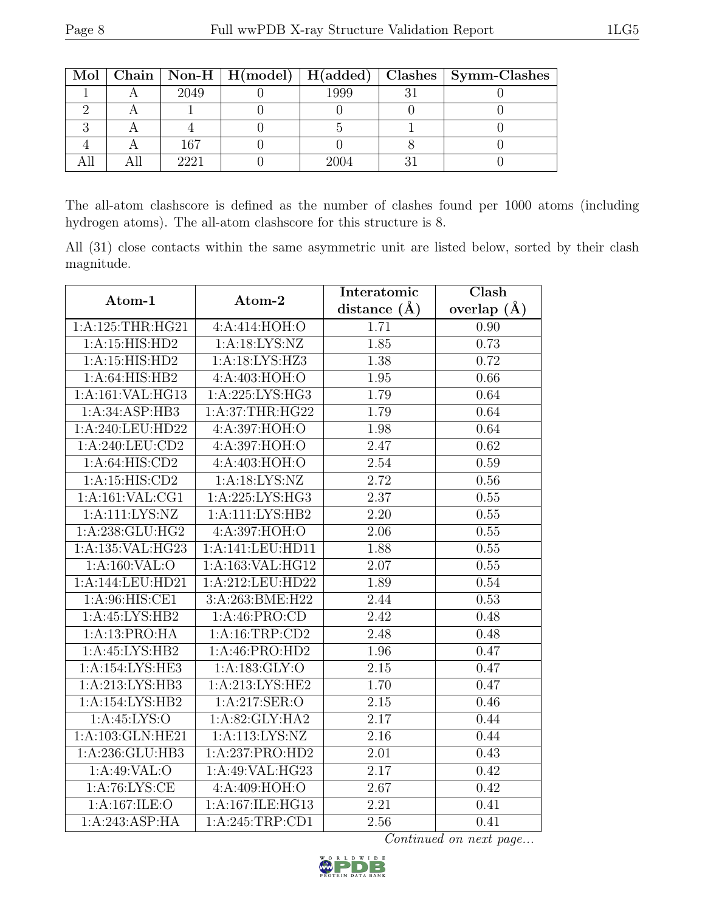|  |      |      | Mol   Chain   Non-H   H(model)   H(added)   Clashes   Symm-Clashes |
|--|------|------|--------------------------------------------------------------------|
|  | 2049 | 1999 |                                                                    |
|  |      |      |                                                                    |
|  |      |      |                                                                    |
|  | 167  |      |                                                                    |
|  | 9991 | ንበበ⊿ |                                                                    |

The all-atom clashscore is defined as the number of clashes found per 1000 atoms (including hydrogen atoms). The all-atom clashscore for this structure is 8.

All (31) close contacts within the same asymmetric unit are listed below, sorted by their clash magnitude.

| Atom-1            | Atom-2             | Interatomic       | Clash         |  |
|-------------------|--------------------|-------------------|---------------|--|
|                   |                    | distance $(A)$    | overlap $(A)$ |  |
| 1: A:125:THR:HG21 | 4:A:414:HOH:O      | 1.71              | 0.90          |  |
| 1:A:15:HIS:HD2    | 1: A: 18: LYS: NZ  | 1.85              | 0.73          |  |
| 1:A:15:HIS:HD2    | 1: A: 18: LYS: HZ3 | 1.38              | 0.72          |  |
| 1:A:64:HIS:HB2    | 4:A:403:HOH:O      | 1.95              | 0.66          |  |
| 1:A:161:VAL:HG13  | 1: A:225: LYS: HG3 | 1.79              | 0.64          |  |
| 1:A:34:ASP:HB3    | 1: A:37:THR:HG22   | 1.79              | 0.64          |  |
| 1:A:240:LEU:HD22  | 4:A:397:HOH:O      | 1.98              | 0.64          |  |
| 1:A:240:LEU:CD2   | 4: A:397:HOH:O     | 2.47              | 0.62          |  |
| 1: A:64:HIS:CD2   | 4:A:403:HOH:O      | 2.54              | 0.59          |  |
| 1:A:15:HIS:CD2    | 1: A: 18: LYS: NZ  | 2.72              | 0.56          |  |
| 1:A:161:VAL:CG1   | 1: A:225: LYS: HG3 | 2.37              | 0.55          |  |
| $1:$ A:111:LYS:NZ | 1:A:111:LYS:HB2    | 2.20              | 0.55          |  |
| 1:A:238:GLU:HG2   | 4: A:397:HOH:O     | 2.06              | 0.55          |  |
| 1:A:135:VAL:HG23  | 1:A:141:LEU:HD11   | 1.88              | 0.55          |  |
| 1:A:160:VAL:O     | 1:A:163:VAL:HG12   | 2.07              | 0.55          |  |
| 1:A:144:LEU:HD21  | 1:A:212:LEU:HD22   | 1.89              | 0.54          |  |
| 1: A:96: HIS: CE1 | 3:A:263:BME:H22    | 2.44              | 0.53          |  |
| 1:A:45:LYS:HB2    | 1:A:46:PRO:CD      | 2.42              | 0.48          |  |
| 1:A:13:PRO:HA     | 1: A: 16: TRP: CD2 | 2.48              | 0.48          |  |
| 1:A:45:LYS:HB2    | 1: A:46: PRO:HD2   | 1.96              | 0.47          |  |
| 1:A:154:LYS:HE3   | 1:A:183:GLY:O      | 2.15              | 0.47          |  |
| 1:A:213:LYS:HB3   | 1: A:213: LYS: HE2 | 1.70              | 0.47          |  |
| 1:A:154:LYS:HB2   | 1:A:217:SER:O      | 2.15              | 0.46          |  |
| 1: A:45: LYS:O    | 1:A:82:GLY:HA2     | 2.17              | 0.44          |  |
| 1:A:103:GLN:HE21  | 1: A:113: LYS: NZ  | $\overline{2.16}$ | 0.44          |  |
| 1:A:236:GLU:HB3   | 1:A:237:PRO:HD2    | 2.01              | 0.43          |  |
| 1:A:49:VAL:O      | 1:A:49:VAL:HG23    | 2.17              | 0.42          |  |
| 1: A:76: LYS: CE  | 4: A:409: HOH:O    | 2.67              | 0.42          |  |
| 1:A:167:ILE:O     | 1:A:167:ILE:HG13   | 2.21              | 0.41          |  |
| 1:A:243:ASP:HA    | 1:A:245:TRP:CD1    | 2.56              | 0.41          |  |

Continued on next page...

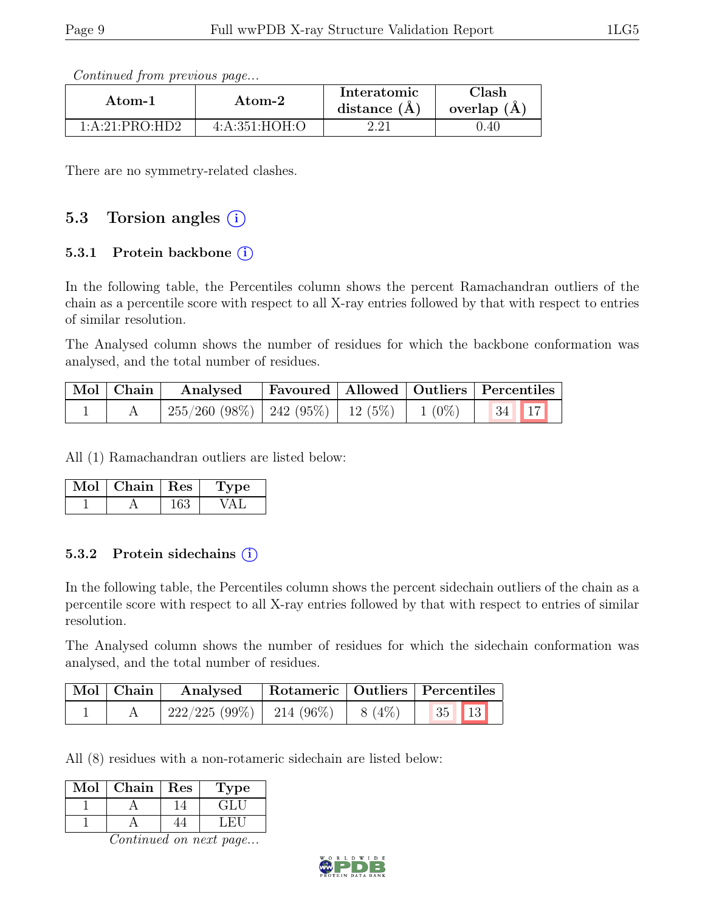| Continued from previous page |  |  |
|------------------------------|--|--|
|                              |  |  |

| Atom-1         | Atom-2          | Interatomic<br>distance $(A)$ | <b>Clash</b><br>overlap (A) |  |
|----------------|-----------------|-------------------------------|-----------------------------|--|
| 1:A:21:PRO:HD2 | 4: A:351: HOH:O | າ າ1                          | ).40                        |  |

There are no symmetry-related clashes.

# 5.3 Torsion angles  $(i)$

#### 5.3.1 Protein backbone (i)

In the following table, the Percentiles column shows the percent Ramachandran outliers of the chain as a percentile score with respect to all X-ray entries followed by that with respect to entries of similar resolution.

The Analysed column shows the number of residues for which the backbone conformation was analysed, and the total number of residues.

|  | Mol   Chain   Analysed                                                               |  | Favoured   Allowed   Outliers   Percentiles |  |
|--|--------------------------------------------------------------------------------------|--|---------------------------------------------|--|
|  | $\frac{1}{255}/260$ (98%) $\mid$ 242 (95%) $\mid$ 12 (5%) $\mid$ 1 (0%) $\mid$ 34 17 |  |                                             |  |

All (1) Ramachandran outliers are listed below:

| Mol | Chain   Res | 'Type |
|-----|-------------|-------|
|     |             |       |

#### 5.3.2 Protein sidechains  $(i)$

In the following table, the Percentiles column shows the percent sidechain outliers of the chain as a percentile score with respect to all X-ray entries followed by that with respect to entries of similar resolution.

The Analysed column shows the number of residues for which the sidechain conformation was analysed, and the total number of residues.

| Mol   Chain | Analysed                                |  | Rotameric   Outliers   Percentiles |  |
|-------------|-----------------------------------------|--|------------------------------------|--|
|             | $222/225 (99\%)$   214 (96\%)   8 (4\%) |  | $35$   13                          |  |

All (8) residues with a non-rotameric sidechain are listed below:

| Mol | Chain | Res | ype |
|-----|-------|-----|-----|
|     |       |     | ÷L  |
|     |       |     |     |

Continued on next page...

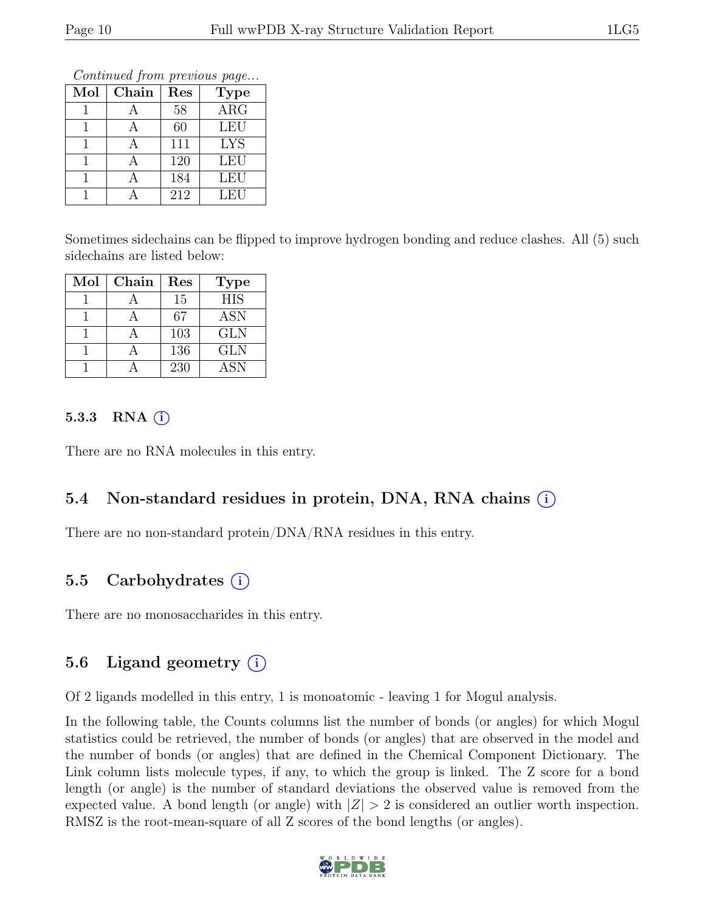Continued from previous page...

| Mol | Chain | Res | <b>Type</b> |
|-----|-------|-----|-------------|
|     |       | 58  | ARG         |
|     |       | 60  | <b>LEU</b>  |
|     |       | 111 | <b>LYS</b>  |
|     |       | 120 | <b>LEU</b>  |
|     |       | 184 | <b>LEU</b>  |
|     |       | 212 | LEU         |

Sometimes sidechains can be flipped to improve hydrogen bonding and reduce clashes. All (5) such sidechains are listed below:

| Mol | Chain | Res | Type       |
|-----|-------|-----|------------|
|     |       | 15  | <b>HIS</b> |
|     |       | 67  | <b>ASN</b> |
|     |       | 103 | <b>GLN</b> |
|     |       | 136 | <b>GLN</b> |
|     |       | 230 | <b>ASN</b> |

#### 5.3.3 RNA  $(i)$

There are no RNA molecules in this entry.

# 5.4 Non-standard residues in protein, DNA, RNA chains (i)

There are no non-standard protein/DNA/RNA residues in this entry.

# 5.5 Carbohydrates  $(i)$

There are no monosaccharides in this entry.

## 5.6 Ligand geometry  $(i)$

Of 2 ligands modelled in this entry, 1 is monoatomic - leaving 1 for Mogul analysis.

In the following table, the Counts columns list the number of bonds (or angles) for which Mogul statistics could be retrieved, the number of bonds (or angles) that are observed in the model and the number of bonds (or angles) that are defined in the Chemical Component Dictionary. The Link column lists molecule types, if any, to which the group is linked. The Z score for a bond length (or angle) is the number of standard deviations the observed value is removed from the expected value. A bond length (or angle) with  $|Z| > 2$  is considered an outlier worth inspection. RMSZ is the root-mean-square of all Z scores of the bond lengths (or angles).

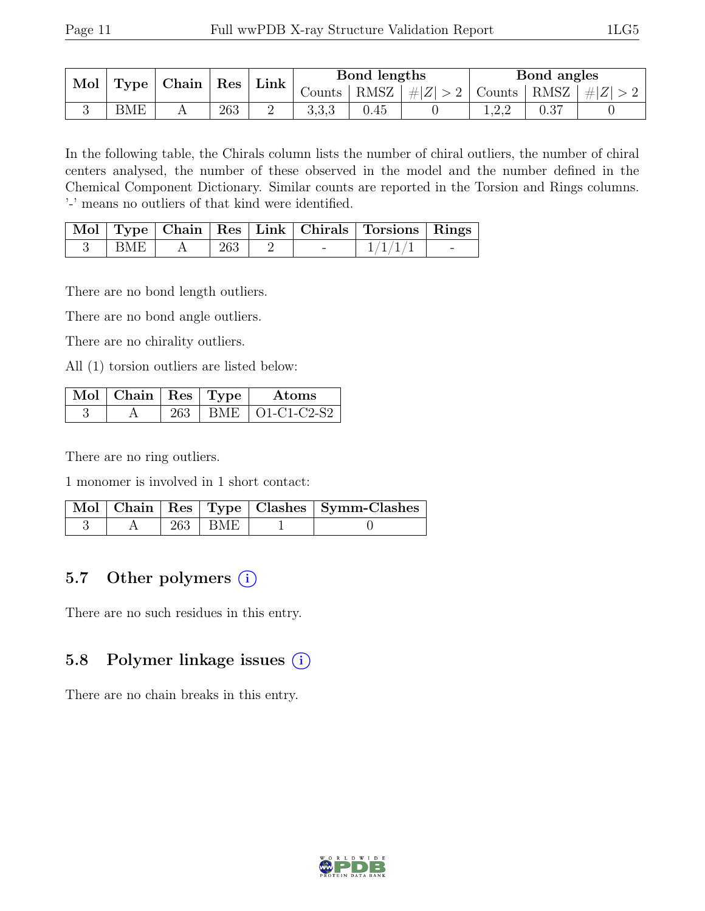| Mol |     | $\vert$ Type $\vert$ Chain $\vert$ | Res |                          |       | Bond lengths |     | Bond angles |                                                                   |
|-----|-----|------------------------------------|-----|--------------------------|-------|--------------|-----|-------------|-------------------------------------------------------------------|
|     |     |                                    |     | $\lfloor$ Link $\rfloor$ |       |              |     |             | Counts   RMSZ $\mid \#  Z  > 2$   Counts   RMSZ $\mid \#  Z  > 2$ |
|     | BME |                                    | 263 | ∠                        | 3,3,3 | 0.45         | . റ |             |                                                                   |

In the following table, the Chirals column lists the number of chiral outliers, the number of chiral centers analysed, the number of these observed in the model and the number defined in the Chemical Component Dictionary. Similar counts are reported in the Torsion and Rings columns. '-' means no outliers of that kind were identified.

|      |     |   | Mol   Type   Chain   Res   Link   Chirals   Torsions   Rings |  |
|------|-----|---|--------------------------------------------------------------|--|
| BME. | 263 | - | 1/1/1/                                                       |  |

There are no bond length outliers.

There are no bond angle outliers.

There are no chirality outliers.

All (1) torsion outliers are listed below:

| $\mathbf{Mod} \mid \mathbf{Chain} \mid \mathbf{Res} \mid \mathbf{Type}$ |  | Atoms             |
|-------------------------------------------------------------------------|--|-------------------|
|                                                                         |  | BME   O1-C1-C2-S2 |

There are no ring outliers.

1 monomer is involved in 1 short contact:

|  |             | Mol   Chain   Res   Type   Clashes   Symm-Clashes |
|--|-------------|---------------------------------------------------|
|  | $263$   BME |                                                   |

# 5.7 Other polymers  $(i)$

There are no such residues in this entry.

## 5.8 Polymer linkage issues  $(i)$

There are no chain breaks in this entry.